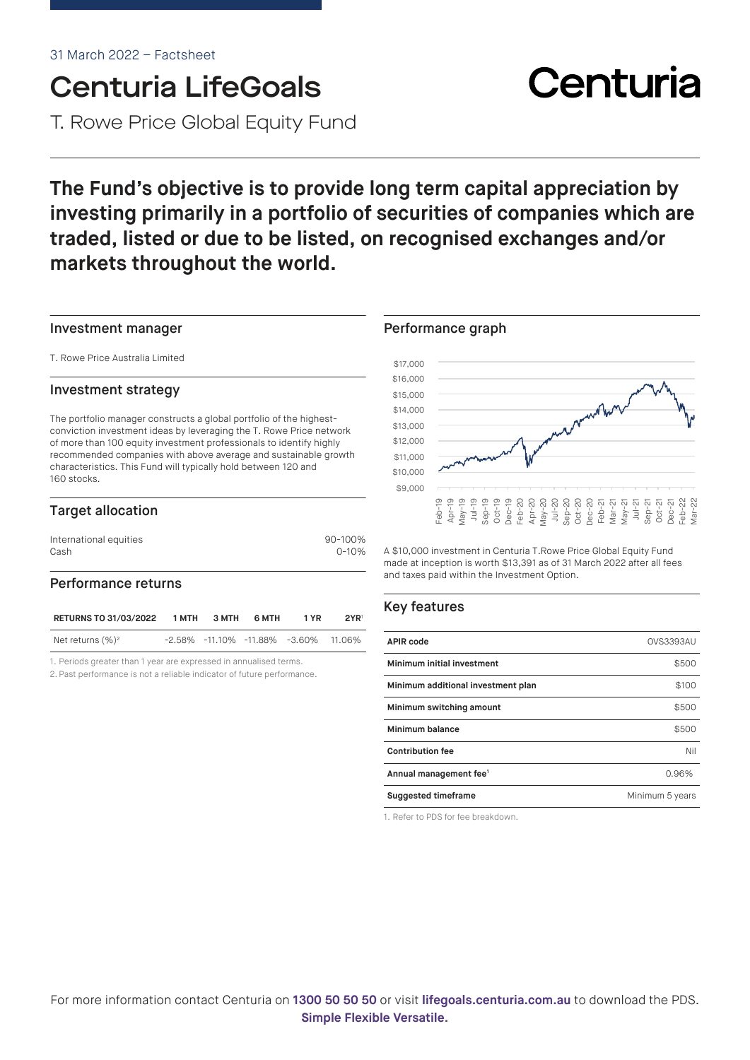## Centuria LifeGoals T. Rowe Price Global Equity Fund

## **The Fund's objective is to provide long term capital appreciation by investing primarily in a portfolio of securities of companies which are traded, listed or due to be listed, on recognised exchanges and/or markets throughout the world.**

#### Investment manager

T. Rowe Price Australia Limited

#### Investment strategy

The portfolio manager constructs a global portfolio of the highestconviction investment ideas by leveraging the T. Rowe Price network of more than 100 equity investment professionals to identify highly recommended companies with above average and sustainable growth characteristics. This Fund will typically hold between 120 and 160 stocks.

#### Target allocation

| International equities | 90-100%   |
|------------------------|-----------|
| Cash                   | $0 - 10%$ |

#### Performance returns

| <b>RETURNS TO 31/03/2022</b> | 1 MTH | 3 MTH | 6 MTH | 1 YR                                             | 2YR |
|------------------------------|-------|-------|-------|--------------------------------------------------|-----|
| Net returns $(\%)^2$         |       |       |       | $-2.58\%$ $-11.10\%$ $-11.88\%$ $-3.60\%$ 11.06% |     |

1. Periods greater than 1 year are expressed in annualised terms.

2. Past performance is not a reliable indicator of future performance.

#### Performance graph



A \$10,000 investment in Centuria T.Rowe Price Global Equity Fund made at inception is worth \$13,391 as of 31 March 2022 after all fees and taxes paid within the Investment Option.

#### Key features

| <b>APIR code</b>                   | <b>OVS3393AU</b> |
|------------------------------------|------------------|
| Minimum initial investment         | \$500            |
| Minimum additional investment plan | \$100            |
| Minimum switching amount           | \$500            |
| Minimum balance                    | \$500            |
| <b>Contribution fee</b>            | Nil              |
| Annual management fee <sup>1</sup> | 0.96%            |
| <b>Suggested timeframe</b>         | Minimum 5 years  |

1. Refer to PDS for fee breakdown.

# Centuria